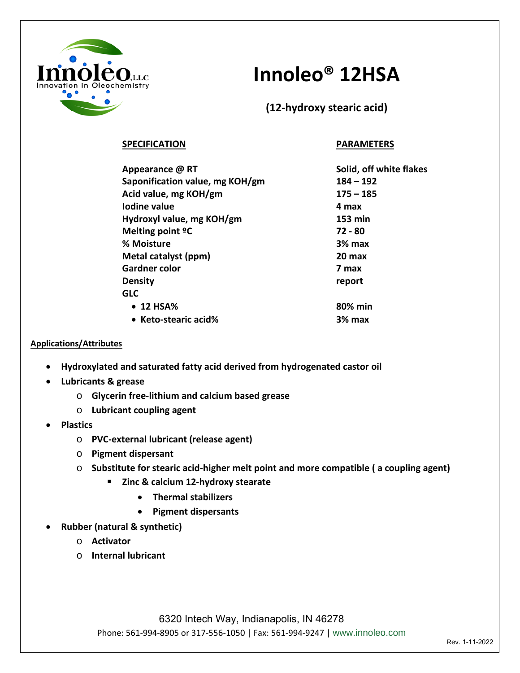

## **Innoleo® 12HSA**

**(12-hydroxy stearic acid)**

## **SPECIFICATION PARAMETERS**

| Appearance @ RT                            | Solid, off white flakes |
|--------------------------------------------|-------------------------|
| Saponification value, mg KOH/gm            | $184 - 192$             |
| Acid value, mg KOH/gm                      | $175 - 185$             |
| Iodine value                               | 4 max                   |
| Hydroxyl value, mg KOH/gm                  | 153 min                 |
| Melting point <sup>o</sup> C<br>% Moisture | 72 - 80<br>3% max       |
|                                            |                         |
| <b>Gardner color</b>                       | 7 max                   |
| <b>Density</b>                             | report                  |
| <b>GLC</b>                                 |                         |
| • 12 HSA%                                  | 80% min                 |
| • Keto-stearic acid%                       | 3% max                  |

## **Applications/Attributes**

- **Hydroxylated and saturated fatty acid derived from hydrogenated castor oil**
- **Lubricants & grease**
	- o **Glycerin free-lithium and calcium based grease**
	- o **Lubricant coupling agent**
- **Plastics**
	- o **PVC-external lubricant (release agent)**
	- o **Pigment dispersant**
	- o **Substitute for stearic acid-higher melt point and more compatible ( a coupling agent)**
		- **Zinc & calcium 12-hydroxy stearate**
			- **Thermal stabilizers**
			- **Pigment dispersants**
- **Rubber (natural & synthetic)**
	- o **Activator**
	- o **Internal lubricant**